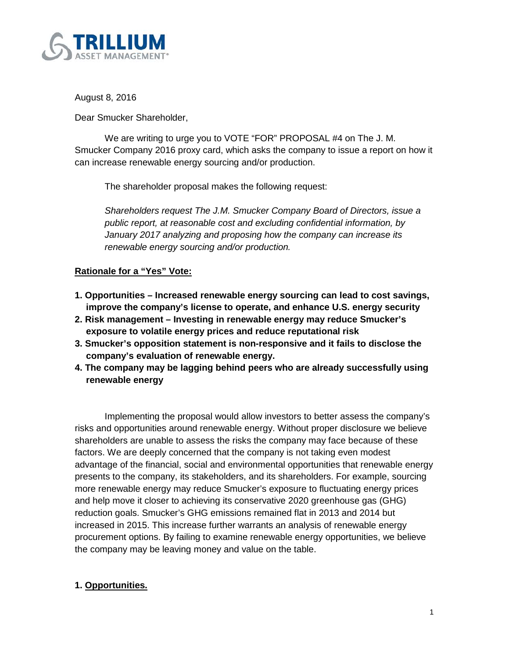

August 8, 2016

Dear Smucker Shareholder,

We are writing to urge you to VOTE "FOR" PROPOSAL #4 on The J. M. Smucker Company 2016 proxy card, which asks the company to issue a report on how it can increase renewable energy sourcing and/or production.

The shareholder proposal makes the following request:

*Shareholders request The J.M. Smucker Company Board of Directors, issue a public report, at reasonable cost and excluding confidential information, by January 2017 analyzing and proposing how the company can increase its renewable energy sourcing and/or production.*

# **Rationale for a "Yes" Vote:**

- **1. Opportunities – Increased renewable energy sourcing can lead to cost savings, improve the company's license to operate, and enhance U.S. energy security**
- **2. Risk management – Investing in renewable energy may reduce Smucker's exposure to volatile energy prices and reduce reputational risk**
- **3. Smucker's opposition statement is non-responsive and it fails to disclose the company's evaluation of renewable energy.**
- **4. The company may be lagging behind peers who are already successfully using renewable energy**

Implementing the proposal would allow investors to better assess the company's risks and opportunities around renewable energy. Without proper disclosure we believe shareholders are unable to assess the risks the company may face because of these factors. We are deeply concerned that the company is not taking even modest advantage of the financial, social and environmental opportunities that renewable energy presents to the company, its stakeholders, and its shareholders. For example, sourcing more renewable energy may reduce Smucker's exposure to fluctuating energy prices and help move it closer to achieving its conservative 2020 greenhouse gas (GHG) reduction goals. Smucker's GHG emissions remained flat in 2013 and 2014 but increased in 2015. This increase further warrants an analysis of renewable energy procurement options. By failing to examine renewable energy opportunities, we believe the company may be leaving money and value on the table.

# **1. Opportunities.**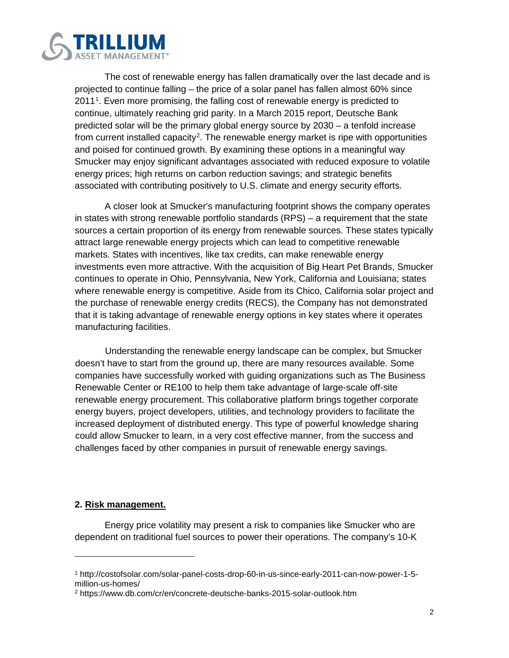

The cost of renewable energy has fallen dramatically over the last decade and is projected to continue falling – the price of a solar panel has fallen almost 60% since 20[1](#page-1-0)1<sup>1</sup>. Even more promising, the falling cost of renewable energy is predicted to continue, ultimately reaching grid parity. In a March 2015 report, Deutsche Bank predicted solar will be the primary global energy source by 2030 – a tenfold increase from current installed capacity<sup>[2](#page-1-1)</sup>. The renewable energy market is ripe with opportunities and poised for continued growth. By examining these options in a meaningful way Smucker may enjoy significant advantages associated with reduced exposure to volatile energy prices; high returns on carbon reduction savings; and strategic benefits associated with contributing positively to U.S. climate and energy security efforts.

A closer look at Smucker's manufacturing footprint shows the company operates in states with strong renewable portfolio standards (RPS) – a requirement that the state sources a certain proportion of its energy from renewable sources. These states typically attract large renewable energy projects which can lead to competitive renewable markets. States with incentives, like tax credits, can make renewable energy investments even more attractive. With the acquisition of Big Heart Pet Brands, Smucker continues to operate in Ohio, Pennsylvania, New York, California and Louisiana; states where renewable energy is competitive. Aside from its Chico, California solar project and the purchase of renewable energy credits (RECS), the Company has not demonstrated that it is taking advantage of renewable energy options in key states where it operates manufacturing facilities.

Understanding the renewable energy landscape can be complex, but Smucker doesn't have to start from the ground up, there are many resources available. Some companies have successfully worked with guiding organizations such as The Business Renewable Center or RE100 to help them take advantage of large-scale off-site renewable energy procurement. This collaborative platform brings together corporate energy buyers, project developers, utilities, and technology providers to facilitate the increased deployment of distributed energy. This type of powerful knowledge sharing could allow Smucker to learn, in a very cost effective manner, from the success and challenges faced by other companies in pursuit of renewable energy savings.

### **2. Risk management.**

 $\overline{a}$ 

Energy price volatility may present a risk to companies like Smucker who are dependent on traditional fuel sources to power their operations. The company's 10-K

<span id="page-1-0"></span><sup>1</sup> http://costofsolar.com/solar-panel-costs-drop-60-in-us-since-early-2011-can-now-power-1-5 million-us-homes/

<span id="page-1-1"></span><sup>2</sup> https://www.db.com/cr/en/concrete-deutsche-banks-2015-solar-outlook.htm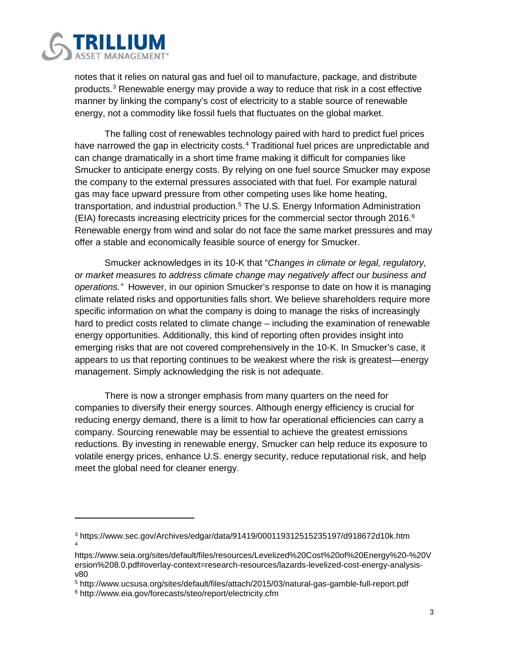

notes that it relies on natural gas and fuel oil to manufacture, package, and distribute products.[3](#page-2-0) Renewable energy may provide a way to reduce that risk in a cost effective manner by linking the company's cost of electricity to a stable source of renewable energy, not a commodity like fossil fuels that fluctuates on the global market.

The falling cost of renewables technology paired with hard to predict fuel prices have narrowed the gap in electricity costs.<sup>[4](#page-2-1)</sup> Traditional fuel prices are unpredictable and can change dramatically in a short time frame making it difficult for companies like Smucker to anticipate energy costs. By relying on one fuel source Smucker may expose the company to the external pressures associated with that fuel. For example natural gas may face upward pressure from other competing uses like home heating, transportation, and industrial production. [5](#page-2-2) The U.S. Energy Information Administration (EIA) forecasts increasing electricity prices for the commercial sector through 201[6](#page-2-3).<sup>6</sup> Renewable energy from wind and solar do not face the same market pressures and may offer a stable and economically feasible source of energy for Smucker.

Smucker acknowledges in its 10-K that "*Changes in climate or legal, regulatory, or market measures to address climate change may negatively affect our business and operations."* However, in our opinion Smucker's response to date on how it is managing climate related risks and opportunities falls short. We believe shareholders require more specific information on what the company is doing to manage the risks of increasingly hard to predict costs related to climate change – including the examination of renewable energy opportunities. Additionally, this kind of reporting often provides insight into emerging risks that are not covered comprehensively in the 10-K. In Smucker's case, it appears to us that reporting continues to be weakest where the risk is greatest—energy management. Simply acknowledging the risk is not adequate.

There is now a stronger emphasis from many quarters on the need for companies to diversify their energy sources. Although energy efficiency is crucial for reducing energy demand, there is a limit to how far operational efficiencies can carry a company. Sourcing renewable may be essential to achieve the greatest emissions reductions. By investing in renewable energy, Smucker can help reduce its exposure to volatile energy prices, enhance U.S. energy security, reduce reputational risk, and help meet the global need for cleaner energy.

 $\overline{a}$ 

<span id="page-2-0"></span><sup>3</sup> https://www.sec.gov/Archives/edgar/data/91419/000119312515235197/d918672d10k.htm 4

<span id="page-2-1"></span>https://www.seia.org/sites/default/files/resources/Levelized%20Cost%20of%20Energy%20-%20V ersion%208.0.pdf#overlay-context=research-resources/lazards-levelized-cost-energy-analysisv80

<span id="page-2-2"></span><sup>5</sup> http://www.ucsusa.org/sites/default/files/attach/2015/03/natural-gas-gamble-full-report.pdf

<span id="page-2-3"></span><sup>6</sup> http://www.eia.gov/forecasts/steo/report/electricity.cfm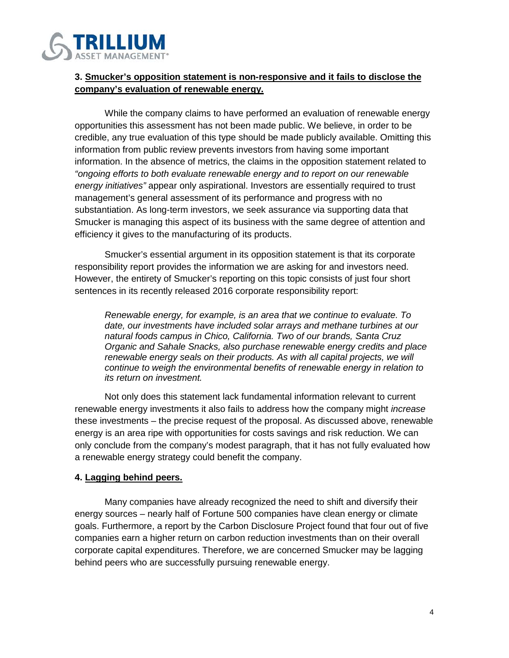

## **3. Smucker's opposition statement is non-responsive and it fails to disclose the company's evaluation of renewable energy.**

While the company claims to have performed an evaluation of renewable energy opportunities this assessment has not been made public. We believe, in order to be credible, any true evaluation of this type should be made publicly available. Omitting this information from public review prevents investors from having some important information. In the absence of metrics, the claims in the opposition statement related to *"ongoing efforts to both evaluate renewable energy and to report on our renewable energy initiatives"* appear only aspirational. Investors are essentially required to trust management's general assessment of its performance and progress with no substantiation. As long-term investors, we seek assurance via supporting data that Smucker is managing this aspect of its business with the same degree of attention and efficiency it gives to the manufacturing of its products.

Smucker's essential argument in its opposition statement is that its corporate responsibility report provides the information we are asking for and investors need. However, the entirety of Smucker's reporting on this topic consists of just four short sentences in its recently released 2016 corporate responsibility report:

*Renewable energy, for example, is an area that we continue to evaluate. To date, our investments have included solar arrays and methane turbines at our natural foods campus in Chico, California. Two of our brands, Santa Cruz Organic and Sahale Snacks, also purchase renewable energy credits and place renewable energy seals on their products. As with all capital projects, we will continue to weigh the environmental benefits of renewable energy in relation to its return on investment.*

Not only does this statement lack fundamental information relevant to current renewable energy investments it also fails to address how the company might *increase* these investments – the precise request of the proposal. As discussed above, renewable energy is an area ripe with opportunities for costs savings and risk reduction. We can only conclude from the company's modest paragraph, that it has not fully evaluated how a renewable energy strategy could benefit the company.

### **4. Lagging behind peers.**

Many companies have already recognized the need to shift and diversify their energy sources – nearly half of Fortune 500 companies have clean energy or climate goals. Furthermore, a report by the Carbon Disclosure Project found that four out of five companies earn a higher return on carbon reduction investments than on their overall corporate capital expenditures. Therefore, we are concerned Smucker may be lagging behind peers who are successfully pursuing renewable energy.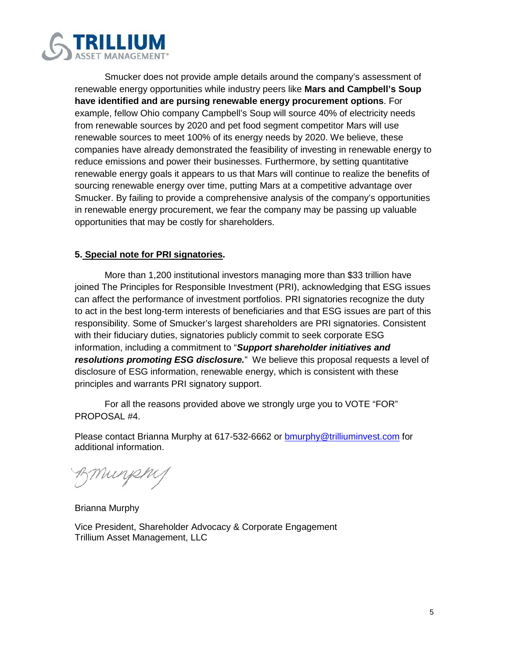

Smucker does not provide ample details around the company's assessment of renewable energy opportunities while industry peers like **Mars and Campbell's Soup have identified and are pursing renewable energy procurement options**. For example, fellow Ohio company Campbell's Soup will source 40% of electricity needs from renewable sources by 2020 and pet food segment competitor Mars will use renewable sources to meet 100% of its energy needs by 2020. We believe, these companies have already demonstrated the feasibility of investing in renewable energy to reduce emissions and power their businesses. Furthermore, by setting quantitative renewable energy goals it appears to us that Mars will continue to realize the benefits of sourcing renewable energy over time, putting Mars at a competitive advantage over Smucker. By failing to provide a comprehensive analysis of the company's opportunities in renewable energy procurement, we fear the company may be passing up valuable opportunities that may be costly for shareholders.

### **5. Special note for PRI signatories.**

More than 1,200 institutional investors managing more than \$33 trillion have joined The Principles for Responsible Investment (PRI), acknowledging that ESG issues can affect the performance of investment portfolios. PRI signatories recognize the duty to act in the best long-term interests of beneficiaries and that ESG issues are part of this responsibility. Some of Smucker's largest shareholders are PRI signatories. Consistent with their fiduciary duties, signatories publicly commit to seek corporate ESG information, including a commitment to "*Support shareholder initiatives and resolutions promoting ESG disclosure.*" We believe this proposal requests a level of disclosure of ESG information, renewable energy, which is consistent with these principles and warrants PRI signatory support.

For all the reasons provided above we strongly urge you to VOTE "FOR" PROPOSAL #4.

Please contact Brianna Murphy at 617-532-6662 or [bmurphy@trilliuminvest.com](mailto:bmurphy@trilliuminvest.com) for additional information.

Bmunphy

Brianna Murphy

Vice President, Shareholder Advocacy & Corporate Engagement Trillium Asset Management, LLC